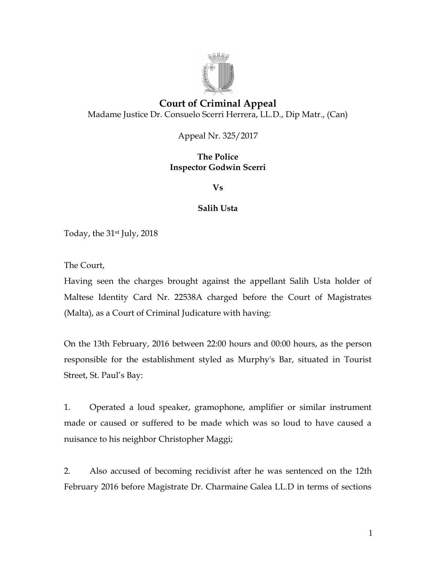

# **Court of Criminal Appeal** Madame Justice Dr. Consuelo Scerri Herrera, LL.D., Dip Matr., (Can)

Appeal Nr. 325/2017

## **The Police Inspector Godwin Scerri**

**Vs**

## **Salih Usta**

Today, the 31st July, 2018

The Court,

Having seen the charges brought against the appellant Salih Usta holder of Maltese Identity Card Nr. 22538A charged before the Court of Magistrates (Malta), as a Court of Criminal Judicature with having:

On the 13th February, 2016 between 22:00 hours and 00:00 hours, as the person responsible for the establishment styled as Murphy's Bar, situated in Tourist Street, St. Paul's Bay:

1. Operated a loud speaker, gramophone, amplifier or similar instrument made or caused or suffered to be made which was so loud to have caused a nuisance to his neighbor Christopher Maggi;

2. Also accused of becoming recidivist after he was sentenced on the 12th February 2016 before Magistrate Dr. Charmaine Galea LL.D in terms of sections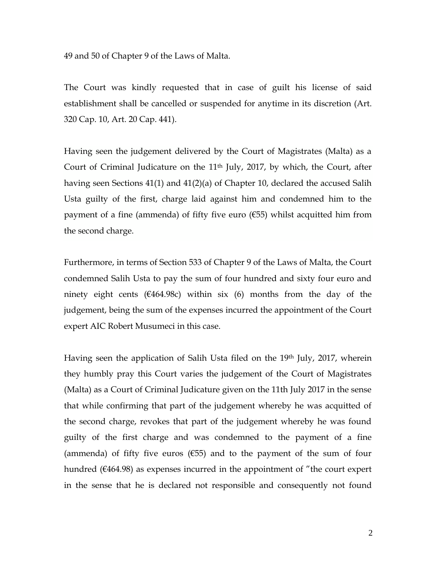49 and 50 of Chapter 9 of the Laws of Malta.

The Court was kindly requested that in case of guilt his license of said establishment shall be cancelled or suspended for anytime in its discretion (Art. 320 Cap. 10, Art. 20 Cap. 441).

Having seen the judgement delivered by the Court of Magistrates (Malta) as a Court of Criminal Judicature on the 11<sup>th</sup> July, 2017, by which, the Court, after having seen Sections 41(1) and 41(2)(a) of Chapter 10, declared the accused Salih Usta guilty of the first, charge laid against him and condemned him to the payment of a fine (ammenda) of fifty five euro  $(655)$  whilst acquitted him from the second charge.

Furthermore, in terms of Section 533 of Chapter 9 of the Laws of Malta, the Court condemned Salih Usta to pay the sum of four hundred and sixty four euro and ninety eight cents ( $\epsilon$ 464.98c) within six (6) months from the day of the judgement, being the sum of the expenses incurred the appointment of the Court expert AIC Robert Musumeci in this case.

Having seen the application of Salih Usta filed on the 19<sup>th</sup> July, 2017, wherein they humbly pray this Court varies the judgement of the Court of Magistrates (Malta) as a Court of Criminal Judicature given on the 11th July 2017 in the sense that while confirming that part of the judgement whereby he was acquitted of the second charge, revokes that part of the judgement whereby he was found guilty of the first charge and was condemned to the payment of a fine (ammenda) of fifty five euros ( $\epsilon$ 55) and to the payment of the sum of four hundred (€464.98) as expenses incurred in the appointment of "the court expert in the sense that he is declared not responsible and consequently not found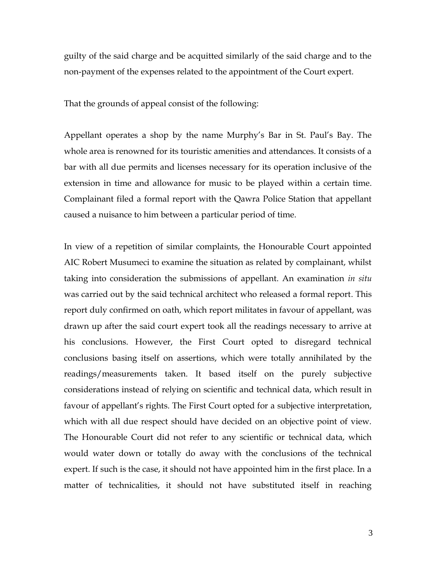guilty of the said charge and be acquitted similarly of the said charge and to the non-payment of the expenses related to the appointment of the Court expert.

That the grounds of appeal consist of the following:

Appellant operates a shop by the name Murphy's Bar in St. Paul's Bay. The whole area is renowned for its touristic amenities and attendances. It consists of a bar with all due permits and licenses necessary for its operation inclusive of the extension in time and allowance for music to be played within a certain time. Complainant filed a formal report with the Qawra Police Station that appellant caused a nuisance to him between a particular period of time.

In view of a repetition of similar complaints, the Honourable Court appointed AIC Robert Musumeci to examine the situation as related by complainant, whilst taking into consideration the submissions of appellant. An examination *in situ* was carried out by the said technical architect who released a formal report. This report duly confirmed on oath, which report militates in favour of appellant, was drawn up after the said court expert took all the readings necessary to arrive at his conclusions. However, the First Court opted to disregard technical conclusions basing itself on assertions, which were totally annihilated by the readings/measurements taken. It based itself on the purely subjective considerations instead of relying on scientific and technical data, which result in favour of appellant's rights. The First Court opted for a subjective interpretation, which with all due respect should have decided on an objective point of view. The Honourable Court did not refer to any scientific or technical data, which would water down or totally do away with the conclusions of the technical expert. If such is the case, it should not have appointed him in the first place. In a matter of technicalities, it should not have substituted itself in reaching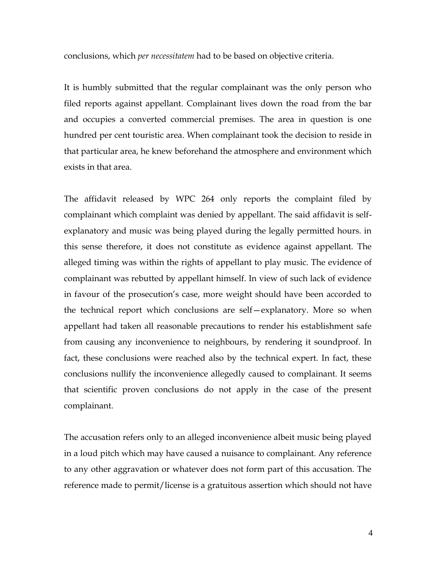conclusions, which *per necessitatem* had to be based on objective criteria.

It is humbly submitted that the regular complainant was the only person who filed reports against appellant. Complainant lives down the road from the bar and occupies a converted commercial premises. The area in question is one hundred per cent touristic area. When complainant took the decision to reside in that particular area, he knew beforehand the atmosphere and environment which exists in that area.

The affidavit released by WPC 264 only reports the complaint filed by complainant which complaint was denied by appellant. The said affidavit is selfexplanatory and music was being played during the legally permitted hours. in this sense therefore, it does not constitute as evidence against appellant. The alleged timing was within the rights of appellant to play music. The evidence of complainant was rebutted by appellant himself. In view of such lack of evidence in favour of the prosecution's case, more weight should have been accorded to the technical report which conclusions are self—explanatory. More so when appellant had taken all reasonable precautions to render his establishment safe from causing any inconvenience to neighbours, by rendering it soundproof. In fact, these conclusions were reached also by the technical expert. In fact, these conclusions nullify the inconvenience allegedly caused to complainant. It seems that scientific proven conclusions do not apply in the case of the present complainant.

The accusation refers only to an alleged inconvenience albeit music being played in a loud pitch which may have caused a nuisance to complainant. Any reference to any other aggravation or whatever does not form part of this accusation. The reference made to permit/license is a gratuitous assertion which should not have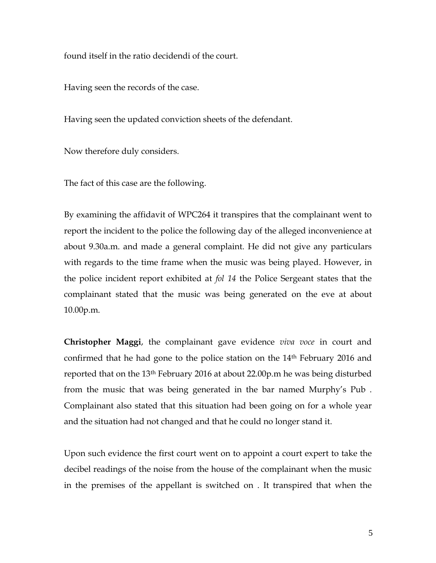found itself in the ratio decidendi of the court.

Having seen the records of the case.

Having seen the updated conviction sheets of the defendant.

Now therefore duly considers.

The fact of this case are the following.

By examining the affidavit of WPC264 it transpires that the complainant went to report the incident to the police the following day of the alleged inconvenience at about 9.30a.m. and made a general complaint. He did not give any particulars with regards to the time frame when the music was being played. However, in the police incident report exhibited at *fol 14* the Police Sergeant states that the complainant stated that the music was being generated on the eve at about 10.00p.m.

**Christopher Maggi**, the complainant gave evidence *viva voce* in court and confirmed that he had gone to the police station on the  $14<sup>th</sup>$  February 2016 and reported that on the 13th February 2016 at about 22.00p.m he was being disturbed from the music that was being generated in the bar named Murphy's Pub . Complainant also stated that this situation had been going on for a whole year and the situation had not changed and that he could no longer stand it.

Upon such evidence the first court went on to appoint a court expert to take the decibel readings of the noise from the house of the complainant when the music in the premises of the appellant is switched on . It transpired that when the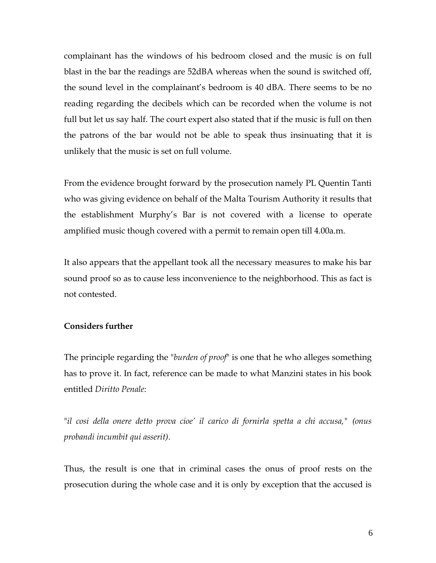complainant has the windows of his bedroom closed and the music is on full blast in the bar the readings are 52dBA whereas when the sound is switched off, the sound level in the complainant's bedroom is 40 dBA. There seems to be no reading regarding the decibels which can be recorded when the volume is not full but let us say half. The court expert also stated that if the music is full on then the patrons of the bar would not be able to speak thus insinuating that it is unlikely that the music is set on full volume.

From the evidence brought forward by the prosecution namely PL Quentin Tanti who was giving evidence on behalf of the Malta Tourism Authority it results that the establishment Murphy's Bar is not covered with a license to operate amplified music though covered with a permit to remain open till 4.00a.m.

It also appears that the appellant took all the necessary measures to make his bar sound proof so as to cause less inconvenience to the neighborhood. This as fact is not contested.

#### **Considers further**

The principle regarding the "*burden of proof*" is one that he who alleges something has to prove it. In fact, reference can be made to what Manzini states in his book entitled *Diritto Penale*:

"*il cosi della onere detto prova cioe' il carico di fornirla spetta a chi accusa," (onus probandi incumbit qui asserit)*.

Thus, the result is one that in criminal cases the onus of proof rests on the prosecution during the whole case and it is only by exception that the accused is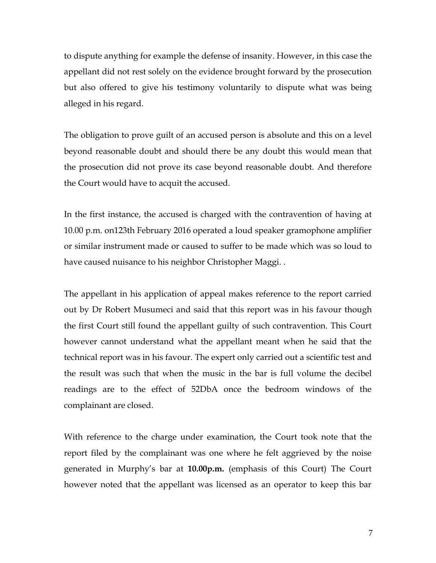to dispute anything for example the defense of insanity. However, in this case the appellant did not rest solely on the evidence brought forward by the prosecution but also offered to give his testimony voluntarily to dispute what was being alleged in his regard.

The obligation to prove guilt of an accused person is absolute and this on a level beyond reasonable doubt and should there be any doubt this would mean that the prosecution did not prove its case beyond reasonable doubt. And therefore the Court would have to acquit the accused.

In the first instance, the accused is charged with the contravention of having at 10.00 p.m. on123th February 2016 operated a loud speaker gramophone amplifier or similar instrument made or caused to suffer to be made which was so loud to have caused nuisance to his neighbor Christopher Maggi. .

The appellant in his application of appeal makes reference to the report carried out by Dr Robert Musumeci and said that this report was in his favour though the first Court still found the appellant guilty of such contravention. This Court however cannot understand what the appellant meant when he said that the technical report was in his favour. The expert only carried out a scientific test and the result was such that when the music in the bar is full volume the decibel readings are to the effect of 52DbA once the bedroom windows of the complainant are closed.

With reference to the charge under examination, the Court took note that the report filed by the complainant was one where he felt aggrieved by the noise generated in Murphy's bar at **10.00p.m.** (emphasis of this Court) The Court however noted that the appellant was licensed as an operator to keep this bar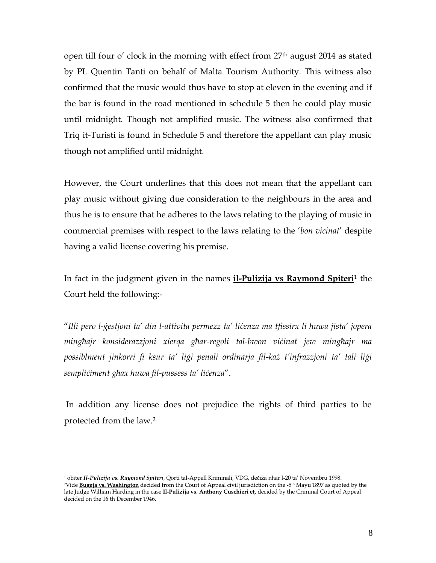open till four o' clock in the morning with effect from 27th august 2014 as stated by PL Quentin Tanti on behalf of Malta Tourism Authority. This witness also confirmed that the music would thus have to stop at eleven in the evening and if the bar is found in the road mentioned in schedule 5 then he could play music until midnight. Though not amplified music. The witness also confirmed that Triq it-Turisti is found in Schedule 5 and therefore the appellant can play music though not amplified until midnight.

However, the Court underlines that this does not mean that the appellant can play music without giving due consideration to the neighbours in the area and thus he is to ensure that he adheres to the laws relating to the playing of music in commercial premises with respect to the laws relating to the '*bon vicinat*' despite having a valid license covering his premise.

In fact in the judgment given in the names **il-Pulizija vs Raymond Spiteri**<sup>1</sup> the Court held the following:-

"*Illi pero l-ġestjoni ta' din l-attivita permezz ta' liċenza ma tfissirx li huwa jista' jopera mingħajr konsiderazzjoni xierqa għar-regoli tal-bwon viċinat jew mingħajr ma possiblment jinkorri fi ksur ta' liġi penali ordinarja fil-każ t'infrazzjoni ta' tali liġi sempliċiment għax huwa fil-pussess ta' liċenza*".

In addition any license does not prejudice the rights of third parties to be protected from the law.<sup>2</sup>

 $\overline{a}$ 

<sup>1</sup> obiter *Il-Pulizija vs. Raymond Spiteri*, Qorti tal-Appell Kriminali, VDG, deċiża nhar l-20 ta' Novembru 1998.

<sup>&</sup>lt;sup>2</sup>Vide <mark>Bugeja vs. Washington</mark> decided from the Court of Appeal civil jurisdiction on the -5<sup>th</sup> Mayu 1897 as quoted by the late Judge William Harding in the case **Il-Pulizija vs. Anthony Cuschieri et,** decided by the Criminal Court of Appeal decided on the 16 th December 1946.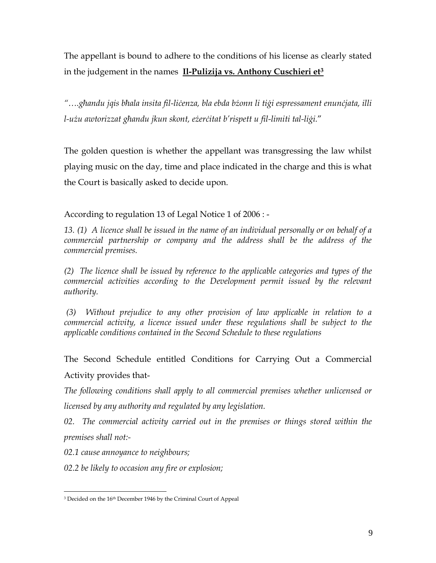The appellant is bound to adhere to the conditions of his license as clearly stated in the judgement in the names **Il-Pulizija vs. Anthony Cuschieri et<sup>3</sup>**

*"….għandu jqis bħala insita fil-liċenza, bla ebda bżonn li tiġi espressament enunċjata, illi l-użu awtorizzat għandu jkun skont, eżerċitat b'rispett u fil-limiti tal-liġi.*"

The golden question is whether the appellant was transgressing the law whilst playing music on the day, time and place indicated in the charge and this is what the Court is basically asked to decide upon.

According to regulation 13 of Legal Notice 1 of 2006 : -

*13. (1) A licence shall be issued in the name of an individual personally or on behalf of a commercial partnership or company and the address shall be the address of the commercial premises.*

*(2) The licence shall be issued by reference to the applicable categories and types of the commercial activities according to the Development permit issued by the relevant authority.* 

*(3) Without prejudice to any other provision of law applicable in relation to a commercial activity, a licence issued under these regulations shall be subject to the applicable conditions contained in the Second Schedule to these regulations*

The Second Schedule entitled Conditions for Carrying Out a Commercial Activity provides that-

*The following conditions shall apply to all commercial premises whether unlicensed or licensed by any authority and regulated by any legislation.*

*02. The commercial activity carried out in the premises or things stored within the premises shall not:-*

*02.1 cause annoyance to neighbours;*

 $\overline{a}$ 

*02.2 be likely to occasion any fire or explosion;*

<sup>&</sup>lt;sup>3</sup> Decided on the 16<sup>th</sup> December 1946 by the Criminal Court of Appeal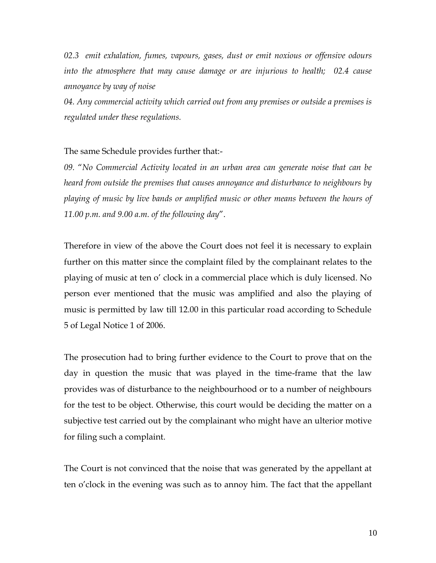*02.3 emit exhalation, fumes, vapours, gases, dust or emit noxious or offensive odours into the atmosphere that may cause damage or are injurious to health; 02.4 cause annoyance by way of noise*

*04. Any commercial activity which carried out from any premises or outside a premises is regulated under these regulations.*

#### The same Schedule provides further that:-

*09.* "*No Commercial Activity located in an urban area can generate noise that can be heard from outside the premises that causes annoyance and disturbance to neighbours by playing of music by live bands or amplified music or other means between the hours of 11.00 p.m. and 9.00 a.m. of the following day*".

Therefore in view of the above the Court does not feel it is necessary to explain further on this matter since the complaint filed by the complainant relates to the playing of music at ten o' clock in a commercial place which is duly licensed. No person ever mentioned that the music was amplified and also the playing of music is permitted by law till 12.00 in this particular road according to Schedule 5 of Legal Notice 1 of 2006.

The prosecution had to bring further evidence to the Court to prove that on the day in question the music that was played in the time-frame that the law provides was of disturbance to the neighbourhood or to a number of neighbours for the test to be object. Otherwise, this court would be deciding the matter on a subjective test carried out by the complainant who might have an ulterior motive for filing such a complaint.

The Court is not convinced that the noise that was generated by the appellant at ten o'clock in the evening was such as to annoy him. The fact that the appellant